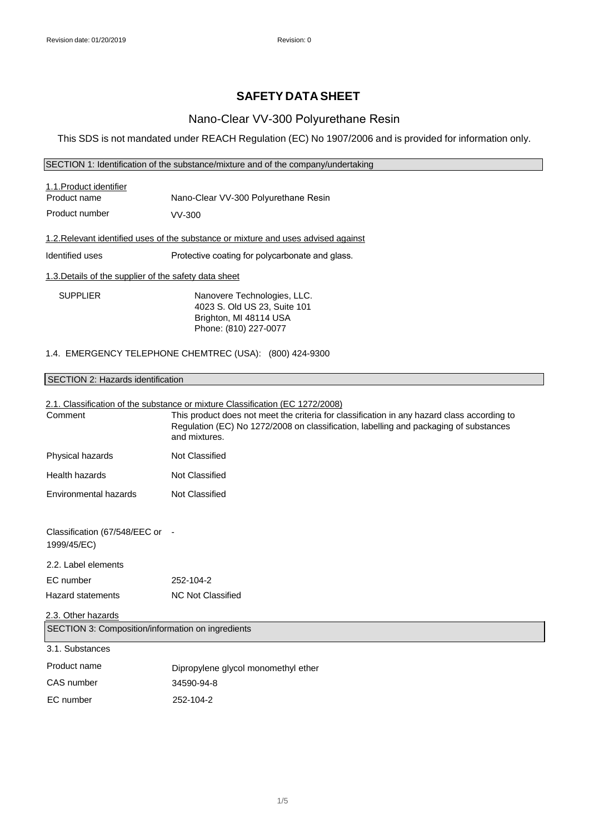# **SAFETY DATA SHEET**

### Nano-Clear VV-300 Polyurethane Resin

This SDS is not mandated under REACH Regulation (EC) No 1907/2006 and is provided for information only.

#### SECTION 1: Identification of the substance/mixture and of the company/undertaking

| 1.1. Product identifier                                                            |                                                 |  |
|------------------------------------------------------------------------------------|-------------------------------------------------|--|
| Product name                                                                       | Nano-Clear VV-300 Polyurethane Resin            |  |
| Product number                                                                     | VV-300                                          |  |
| 1.2. Relevant identified uses of the substance or mixture and uses advised against |                                                 |  |
| Identified uses                                                                    | Protective coating for polycarbonate and glass. |  |
| 1.3. Details of the supplier of the safety data sheet                              |                                                 |  |
| <b>SUPPLIER</b>                                                                    | Nanovere Technologies, LLC.                     |  |
|                                                                                    | 4023 S. Old US 23, Suite 101                    |  |

Brighton, MI 48114 USA Phone: (810) 227-0077

### 1.4. EMERGENCY TELEPHONE CHEMTREC (USA): (800) 424-9300

### SECTION 2: Hazards identification

# 2.1. Classification of the substance or mixture Classification (EC 1272/2008) Hazard statements NC Not Classified 2.3. Other hazards SECTION 3: Composition/information on ingredients 3.1. Substances Product name CAS number Dipropylene glycol monomethyl ether 34590-94-8 EC number 252-104-2 Comment This product does not meet the criteria for classification in any hazard class according to Regulation (EC) No 1272/2008 on classification, labelling and packaging of substances and mixtures. Physical hazards Not Classified Health hazards Not Classified Environmental hazards Not Classified Classification (67/548/EEC or - 1999/45/EC) 2.2. Label elements EC number 252-104-2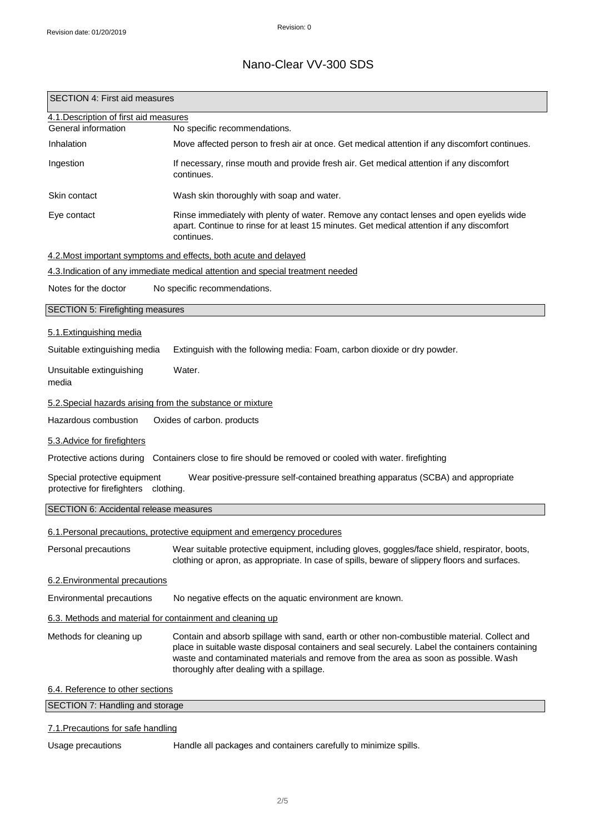| 4.1. Description of first aid measures<br>General information<br>No specific recommendations.<br>Inhalation<br>Move affected person to fresh air at once. Get medical attention if any discomfort continues.<br>Ingestion<br>If necessary, rinse mouth and provide fresh air. Get medical attention if any discomfort<br>continues.<br>Wash skin thoroughly with soap and water.<br>Skin contact<br>Rinse immediately with plenty of water. Remove any contact lenses and open eyelids wide<br>Eye contact<br>apart. Continue to rinse for at least 15 minutes. Get medical attention if any discomfort<br>continues.<br>4.2. Most important symptoms and effects, both acute and delayed<br>4.3.Indication of any immediate medical attention and special treatment needed<br>Notes for the doctor<br>No specific recommendations.<br>SECTION 5: Firefighting measures<br>5.1. Extinguishing media<br>Suitable extinguishing media<br>Extinguish with the following media: Foam, carbon dioxide or dry powder.<br>Water.<br>Unsuitable extinguishing<br>media<br>5.2. Special hazards arising from the substance or mixture<br>Hazardous combustion<br>Oxides of carbon. products<br>5.3. Advice for firefighters<br>Protective actions during Containers close to fire should be removed or cooled with water. firefighting<br>Special protective equipment<br>Wear positive-pressure self-contained breathing apparatus (SCBA) and appropriate<br>protective for firefighters clothing.<br>6.1. Personal precautions, protective equipment and emergency procedures<br>Personal precautions<br>Wear suitable protective equipment, including gloves, goggles/face shield, respirator, boots,<br>clothing or apron, as appropriate. In case of spills, beware of slippery floors and surfaces.<br>6.2. Environmental precautions<br>Environmental precautions<br>No negative effects on the aquatic environment are known.<br>6.3. Methods and material for containment and cleaning up<br>Methods for cleaning up<br>Contain and absorb spillage with sand, earth or other non-combustible material. Collect and<br>place in suitable waste disposal containers and seal securely. Label the containers containing<br>waste and contaminated materials and remove from the area as soon as possible. Wash<br>thoroughly after dealing with a spillage.<br>6.4. Reference to other sections<br>SECTION 7: Handling and storage | <b>SECTION 4: First aid measures</b>   |  |  |
|----------------------------------------------------------------------------------------------------------------------------------------------------------------------------------------------------------------------------------------------------------------------------------------------------------------------------------------------------------------------------------------------------------------------------------------------------------------------------------------------------------------------------------------------------------------------------------------------------------------------------------------------------------------------------------------------------------------------------------------------------------------------------------------------------------------------------------------------------------------------------------------------------------------------------------------------------------------------------------------------------------------------------------------------------------------------------------------------------------------------------------------------------------------------------------------------------------------------------------------------------------------------------------------------------------------------------------------------------------------------------------------------------------------------------------------------------------------------------------------------------------------------------------------------------------------------------------------------------------------------------------------------------------------------------------------------------------------------------------------------------------------------------------------------------------------------------------------------------------------------------------------------------------------------------------------------------------------------------------------------------------------------------------------------------------------------------------------------------------------------------------------------------------------------------------------------------------------------------------------------------------------------------------------------------------------------------------------------------------------------------------------------------------------------------------|----------------------------------------|--|--|
|                                                                                                                                                                                                                                                                                                                                                                                                                                                                                                                                                                                                                                                                                                                                                                                                                                                                                                                                                                                                                                                                                                                                                                                                                                                                                                                                                                                                                                                                                                                                                                                                                                                                                                                                                                                                                                                                                                                                                                                                                                                                                                                                                                                                                                                                                                                                                                                                                                  |                                        |  |  |
|                                                                                                                                                                                                                                                                                                                                                                                                                                                                                                                                                                                                                                                                                                                                                                                                                                                                                                                                                                                                                                                                                                                                                                                                                                                                                                                                                                                                                                                                                                                                                                                                                                                                                                                                                                                                                                                                                                                                                                                                                                                                                                                                                                                                                                                                                                                                                                                                                                  |                                        |  |  |
|                                                                                                                                                                                                                                                                                                                                                                                                                                                                                                                                                                                                                                                                                                                                                                                                                                                                                                                                                                                                                                                                                                                                                                                                                                                                                                                                                                                                                                                                                                                                                                                                                                                                                                                                                                                                                                                                                                                                                                                                                                                                                                                                                                                                                                                                                                                                                                                                                                  |                                        |  |  |
|                                                                                                                                                                                                                                                                                                                                                                                                                                                                                                                                                                                                                                                                                                                                                                                                                                                                                                                                                                                                                                                                                                                                                                                                                                                                                                                                                                                                                                                                                                                                                                                                                                                                                                                                                                                                                                                                                                                                                                                                                                                                                                                                                                                                                                                                                                                                                                                                                                  |                                        |  |  |
|                                                                                                                                                                                                                                                                                                                                                                                                                                                                                                                                                                                                                                                                                                                                                                                                                                                                                                                                                                                                                                                                                                                                                                                                                                                                                                                                                                                                                                                                                                                                                                                                                                                                                                                                                                                                                                                                                                                                                                                                                                                                                                                                                                                                                                                                                                                                                                                                                                  |                                        |  |  |
|                                                                                                                                                                                                                                                                                                                                                                                                                                                                                                                                                                                                                                                                                                                                                                                                                                                                                                                                                                                                                                                                                                                                                                                                                                                                                                                                                                                                                                                                                                                                                                                                                                                                                                                                                                                                                                                                                                                                                                                                                                                                                                                                                                                                                                                                                                                                                                                                                                  |                                        |  |  |
|                                                                                                                                                                                                                                                                                                                                                                                                                                                                                                                                                                                                                                                                                                                                                                                                                                                                                                                                                                                                                                                                                                                                                                                                                                                                                                                                                                                                                                                                                                                                                                                                                                                                                                                                                                                                                                                                                                                                                                                                                                                                                                                                                                                                                                                                                                                                                                                                                                  |                                        |  |  |
|                                                                                                                                                                                                                                                                                                                                                                                                                                                                                                                                                                                                                                                                                                                                                                                                                                                                                                                                                                                                                                                                                                                                                                                                                                                                                                                                                                                                                                                                                                                                                                                                                                                                                                                                                                                                                                                                                                                                                                                                                                                                                                                                                                                                                                                                                                                                                                                                                                  |                                        |  |  |
|                                                                                                                                                                                                                                                                                                                                                                                                                                                                                                                                                                                                                                                                                                                                                                                                                                                                                                                                                                                                                                                                                                                                                                                                                                                                                                                                                                                                                                                                                                                                                                                                                                                                                                                                                                                                                                                                                                                                                                                                                                                                                                                                                                                                                                                                                                                                                                                                                                  |                                        |  |  |
|                                                                                                                                                                                                                                                                                                                                                                                                                                                                                                                                                                                                                                                                                                                                                                                                                                                                                                                                                                                                                                                                                                                                                                                                                                                                                                                                                                                                                                                                                                                                                                                                                                                                                                                                                                                                                                                                                                                                                                                                                                                                                                                                                                                                                                                                                                                                                                                                                                  |                                        |  |  |
|                                                                                                                                                                                                                                                                                                                                                                                                                                                                                                                                                                                                                                                                                                                                                                                                                                                                                                                                                                                                                                                                                                                                                                                                                                                                                                                                                                                                                                                                                                                                                                                                                                                                                                                                                                                                                                                                                                                                                                                                                                                                                                                                                                                                                                                                                                                                                                                                                                  |                                        |  |  |
|                                                                                                                                                                                                                                                                                                                                                                                                                                                                                                                                                                                                                                                                                                                                                                                                                                                                                                                                                                                                                                                                                                                                                                                                                                                                                                                                                                                                                                                                                                                                                                                                                                                                                                                                                                                                                                                                                                                                                                                                                                                                                                                                                                                                                                                                                                                                                                                                                                  |                                        |  |  |
|                                                                                                                                                                                                                                                                                                                                                                                                                                                                                                                                                                                                                                                                                                                                                                                                                                                                                                                                                                                                                                                                                                                                                                                                                                                                                                                                                                                                                                                                                                                                                                                                                                                                                                                                                                                                                                                                                                                                                                                                                                                                                                                                                                                                                                                                                                                                                                                                                                  |                                        |  |  |
|                                                                                                                                                                                                                                                                                                                                                                                                                                                                                                                                                                                                                                                                                                                                                                                                                                                                                                                                                                                                                                                                                                                                                                                                                                                                                                                                                                                                                                                                                                                                                                                                                                                                                                                                                                                                                                                                                                                                                                                                                                                                                                                                                                                                                                                                                                                                                                                                                                  |                                        |  |  |
|                                                                                                                                                                                                                                                                                                                                                                                                                                                                                                                                                                                                                                                                                                                                                                                                                                                                                                                                                                                                                                                                                                                                                                                                                                                                                                                                                                                                                                                                                                                                                                                                                                                                                                                                                                                                                                                                                                                                                                                                                                                                                                                                                                                                                                                                                                                                                                                                                                  |                                        |  |  |
|                                                                                                                                                                                                                                                                                                                                                                                                                                                                                                                                                                                                                                                                                                                                                                                                                                                                                                                                                                                                                                                                                                                                                                                                                                                                                                                                                                                                                                                                                                                                                                                                                                                                                                                                                                                                                                                                                                                                                                                                                                                                                                                                                                                                                                                                                                                                                                                                                                  |                                        |  |  |
|                                                                                                                                                                                                                                                                                                                                                                                                                                                                                                                                                                                                                                                                                                                                                                                                                                                                                                                                                                                                                                                                                                                                                                                                                                                                                                                                                                                                                                                                                                                                                                                                                                                                                                                                                                                                                                                                                                                                                                                                                                                                                                                                                                                                                                                                                                                                                                                                                                  |                                        |  |  |
|                                                                                                                                                                                                                                                                                                                                                                                                                                                                                                                                                                                                                                                                                                                                                                                                                                                                                                                                                                                                                                                                                                                                                                                                                                                                                                                                                                                                                                                                                                                                                                                                                                                                                                                                                                                                                                                                                                                                                                                                                                                                                                                                                                                                                                                                                                                                                                                                                                  |                                        |  |  |
|                                                                                                                                                                                                                                                                                                                                                                                                                                                                                                                                                                                                                                                                                                                                                                                                                                                                                                                                                                                                                                                                                                                                                                                                                                                                                                                                                                                                                                                                                                                                                                                                                                                                                                                                                                                                                                                                                                                                                                                                                                                                                                                                                                                                                                                                                                                                                                                                                                  |                                        |  |  |
|                                                                                                                                                                                                                                                                                                                                                                                                                                                                                                                                                                                                                                                                                                                                                                                                                                                                                                                                                                                                                                                                                                                                                                                                                                                                                                                                                                                                                                                                                                                                                                                                                                                                                                                                                                                                                                                                                                                                                                                                                                                                                                                                                                                                                                                                                                                                                                                                                                  | SECTION 6: Accidental release measures |  |  |
|                                                                                                                                                                                                                                                                                                                                                                                                                                                                                                                                                                                                                                                                                                                                                                                                                                                                                                                                                                                                                                                                                                                                                                                                                                                                                                                                                                                                                                                                                                                                                                                                                                                                                                                                                                                                                                                                                                                                                                                                                                                                                                                                                                                                                                                                                                                                                                                                                                  |                                        |  |  |
|                                                                                                                                                                                                                                                                                                                                                                                                                                                                                                                                                                                                                                                                                                                                                                                                                                                                                                                                                                                                                                                                                                                                                                                                                                                                                                                                                                                                                                                                                                                                                                                                                                                                                                                                                                                                                                                                                                                                                                                                                                                                                                                                                                                                                                                                                                                                                                                                                                  |                                        |  |  |
|                                                                                                                                                                                                                                                                                                                                                                                                                                                                                                                                                                                                                                                                                                                                                                                                                                                                                                                                                                                                                                                                                                                                                                                                                                                                                                                                                                                                                                                                                                                                                                                                                                                                                                                                                                                                                                                                                                                                                                                                                                                                                                                                                                                                                                                                                                                                                                                                                                  |                                        |  |  |
|                                                                                                                                                                                                                                                                                                                                                                                                                                                                                                                                                                                                                                                                                                                                                                                                                                                                                                                                                                                                                                                                                                                                                                                                                                                                                                                                                                                                                                                                                                                                                                                                                                                                                                                                                                                                                                                                                                                                                                                                                                                                                                                                                                                                                                                                                                                                                                                                                                  |                                        |  |  |
|                                                                                                                                                                                                                                                                                                                                                                                                                                                                                                                                                                                                                                                                                                                                                                                                                                                                                                                                                                                                                                                                                                                                                                                                                                                                                                                                                                                                                                                                                                                                                                                                                                                                                                                                                                                                                                                                                                                                                                                                                                                                                                                                                                                                                                                                                                                                                                                                                                  |                                        |  |  |
|                                                                                                                                                                                                                                                                                                                                                                                                                                                                                                                                                                                                                                                                                                                                                                                                                                                                                                                                                                                                                                                                                                                                                                                                                                                                                                                                                                                                                                                                                                                                                                                                                                                                                                                                                                                                                                                                                                                                                                                                                                                                                                                                                                                                                                                                                                                                                                                                                                  |                                        |  |  |
|                                                                                                                                                                                                                                                                                                                                                                                                                                                                                                                                                                                                                                                                                                                                                                                                                                                                                                                                                                                                                                                                                                                                                                                                                                                                                                                                                                                                                                                                                                                                                                                                                                                                                                                                                                                                                                                                                                                                                                                                                                                                                                                                                                                                                                                                                                                                                                                                                                  |                                        |  |  |
|                                                                                                                                                                                                                                                                                                                                                                                                                                                                                                                                                                                                                                                                                                                                                                                                                                                                                                                                                                                                                                                                                                                                                                                                                                                                                                                                                                                                                                                                                                                                                                                                                                                                                                                                                                                                                                                                                                                                                                                                                                                                                                                                                                                                                                                                                                                                                                                                                                  |                                        |  |  |

## 7.1.Precautions for safe handling

Usage precautions **Handle all packages and containers carefully to minimize spills.**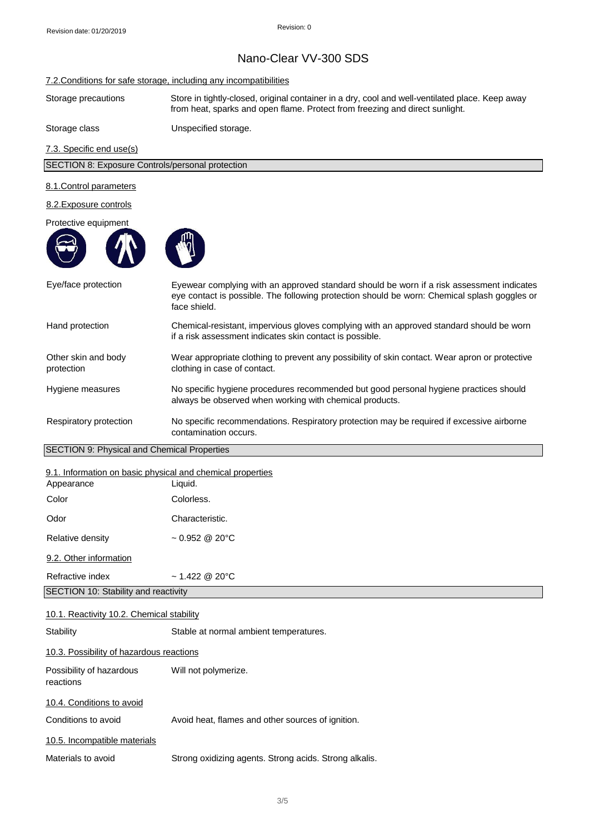#### 7.2.Conditions for safe storage, including any incompatibilities

Storage precautions Store in tightly-closed, original container in a dry, cool and well-ventilated place. Keep away from heat, sparks and open flame. Protect from freezing and direct sunlight.

Storage class Unspecified storage.

7.3. Specific end use(s)

SECTION 8: Exposure Controls/personal protection

#### 8.1.Control parameters

#### 8.2.Exposure controls

#### Protective equipment





Relative density  $~1$  0.952 @ 20°C

9.2. Other information

Refractive index ~ 1.422 @ 20°C

SECTION 10: Stability and reactivity

#### 10.1. Reactivity 10.2. Chemical stability

Stability Stable at normal ambient temperatures. 10.3. Possibility of hazardous reactions Possibility of hazardous Will not polymerize. reactions 10.4. Conditions to avoid

Conditions to avoid **Avoid heat, flames and other sources of ignition.** 

10.5. Incompatible materials

Materials to avoid Strong oxidizing agents. Strong acids. Strong alkalis.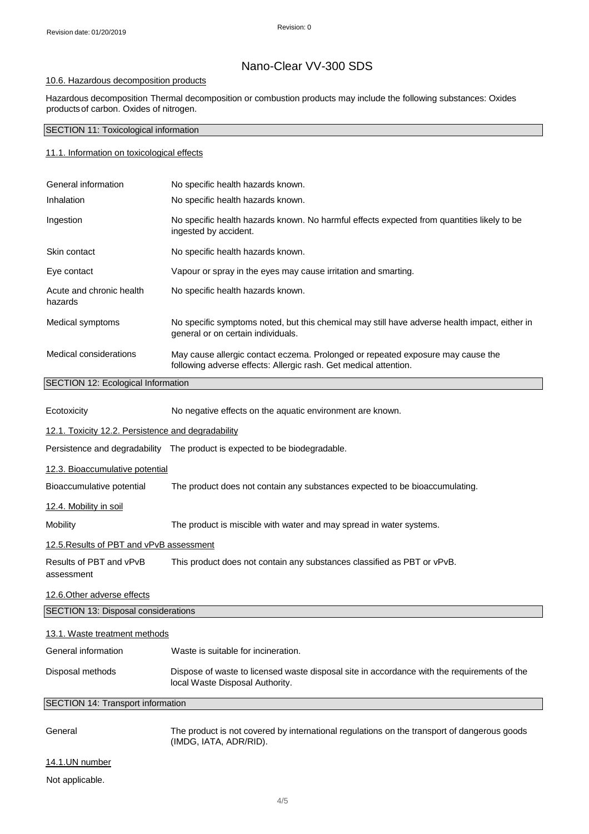### 10.6. Hazardous decomposition products

Hazardous decomposition Thermal decomposition or combustion products may include the following substances: Oxides productsof carbon. Oxides of nitrogen.

### SECTION 11: Toxicological information

#### 11.1. Information on toxicological effects

| General information                       | No specific health hazards known.                                                                                                                   |  |
|-------------------------------------------|-----------------------------------------------------------------------------------------------------------------------------------------------------|--|
| Inhalation                                | No specific health hazards known.                                                                                                                   |  |
| Ingestion                                 | No specific health hazards known. No harmful effects expected from quantities likely to be<br>ingested by accident.                                 |  |
| Skin contact                              | No specific health hazards known.                                                                                                                   |  |
| Eye contact                               | Vapour or spray in the eyes may cause irritation and smarting.                                                                                      |  |
| Acute and chronic health<br>hazards       | No specific health hazards known.                                                                                                                   |  |
| Medical symptoms                          | No specific symptoms noted, but this chemical may still have adverse health impact, either in<br>general or on certain individuals.                 |  |
| Medical considerations                    | May cause allergic contact eczema. Prolonged or repeated exposure may cause the<br>following adverse effects: Allergic rash. Get medical attention. |  |
| <b>SECTION 12: Ecological Information</b> |                                                                                                                                                     |  |

| Ecotoxicity                                        | No negative effects on the aquatic environment are known.                                                                      |  |  |
|----------------------------------------------------|--------------------------------------------------------------------------------------------------------------------------------|--|--|
| 12.1. Toxicity 12.2. Persistence and degradability |                                                                                                                                |  |  |
|                                                    | Persistence and degradability The product is expected to be biodegradable.                                                     |  |  |
| 12.3. Bioaccumulative potential                    |                                                                                                                                |  |  |
| Bioaccumulative potential                          | The product does not contain any substances expected to be bioaccumulating.                                                    |  |  |
| 12.4. Mobility in soil                             |                                                                                                                                |  |  |
| Mobility                                           | The product is miscible with water and may spread in water systems.                                                            |  |  |
| 12.5. Results of PBT and vPvB assessment           |                                                                                                                                |  |  |
| Results of PBT and vPvB<br>assessment              | This product does not contain any substances classified as PBT or vPvB.                                                        |  |  |
| 12.6. Other adverse effects                        |                                                                                                                                |  |  |
| SECTION 13: Disposal considerations                |                                                                                                                                |  |  |
| 13.1. Waste treatment methods                      |                                                                                                                                |  |  |
| General information                                | Waste is suitable for incineration.                                                                                            |  |  |
| Disposal methods                                   | Dispose of waste to licensed waste disposal site in accordance with the requirements of the<br>local Waste Disposal Authority. |  |  |
| <b>SECTION 14: Transport information</b>           |                                                                                                                                |  |  |
| General                                            | The product is not covered by international regulations on the transport of dangerous goods<br>(IMDG, IATA, ADR/RID).          |  |  |
| 14.1.UN number                                     |                                                                                                                                |  |  |